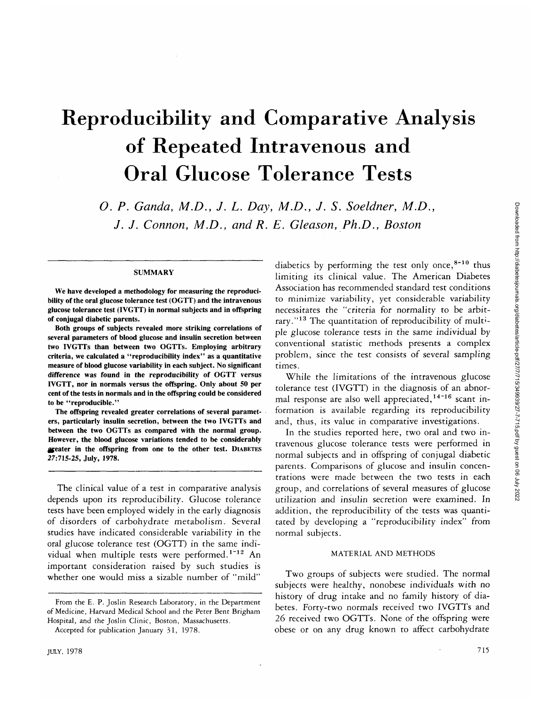# Reproducibility and Comparative Analysis of Repeated Intravenous and Oral Glucose Tolerance Tests

*O. P. Ganda, M.D., J. L. Day, M.D., J. S. Soeldner, M.D., J. J. Connon, M.D., and R. E. Gleason, Ph.D., Boston*

### **SUMMARY**

We have developed a methodology for measuring the reproducibility of the oral glucose tolerance test (OGTT) and the intravenous glucose tolerance test (IVGTT) in normal subjects and in offspring of conjugal diabetic parents.

Both groups of subjects revealed more striking correlations of several parameters of blood glucose and insulin secretion between two IVGTTs than between two OGTTs. Employing arbitrary criteria, we calculated a "reproducibility index" as a quantitative measure of blood glucose variability in each subject. No significant difference was found in the reproducibility of OGTT versus IVGTT, nor in normals versus the offspring. Only about 50 per cent of the tests in normals and in the offspring could be considered to be "reproducible."

The offspring revealed greater correlations of several parameters, particularly insulin secretion, between the two IVGTTs and between the two OGTTs as compared with the normal group. However, the blood glucose variations tended to be considerably §feater in the offspring from one to the other test. DIABETES 27:715-25, July, 1978.

The clinical value of a test in comparative analysis depends upon its reproducibility. Glucose tolerance tests have been employed widely in the early diagnosis of disorders of carbohydrate metabolism. Several studies have indicated considerable variability in the oral glucose tolerance test (OGTT) in the same individual when multiple tests were performed.<sup>1-12</sup> An important consideration raised by such studies is whether one would miss a sizable number of "mild"

diabetics by performing the test only once,<sup>8-10</sup> thus limiting its clinical value. The American Diabetes Association has recommended standard test conditions to minimize variability, yet considerable variability necessitates the "criteria for normality to be arbitrary."<sup>13</sup> The quantitation of reproducibility of multiple glucose tolerance tests in the same individual by conventional statistic methods presents a complex problem, since the test consists of several sampling times.

While the limitations of the intravenous glucose tolerance test (IVGTT) in the diagnosis of an abnormal response are also well appreciated,<sup>14-16</sup> scant information is available regarding its reproducibility and, thus, its value in comparative investigations.

In the studies reported here, two oral and two intravenous glucose tolerance tests were performed in normal subjects and in offspring of conjugal diabetic parents. Comparisons of glucose and insulin concentrations were made between the two tests in each group, and correlations of several measures of glucose utilization and insulin secretion were examined. In addition, the reproducibility of the tests was quantitated by developing a "reproducibility index" from normal subjects.

#### MATERIAL AND METHODS

Two groups of subjects were studied. The normal subjects were healthy, nonobese individuals with no history of drug intake and no family history of diabetes. Forty-two normals received two IVGTTs and 26 received two OGTTs. None of the offspring were obese or on any drug known to affect carbohydrate

From the E. P. Joslin Research Laboratory, in the Department of Medicine, Harvard Medical School and the Peter Bent Brigham Hospital, and the Joslin Clinic, Boston, Massachusetts.

Accepted for publication January 31, 1978.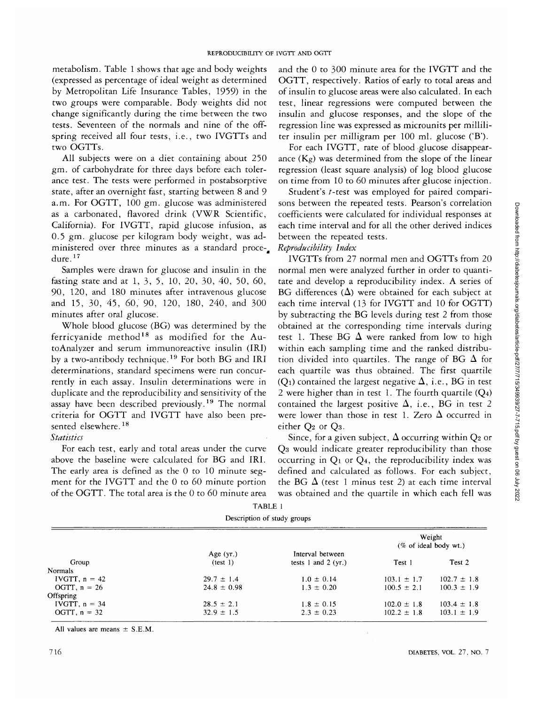metabolism. Table 1 shows that age and body weights (expressed as percentage of ideal weight as determined by Metropolitan Life Insurance Tables, 1959) in the two groups were comparable. Body weights did not change significantly during the time between the two tests. Seventeen of the normals and nine of the offspring received all four tests, i.e., two IVGTTs and two OGTTs.

All subjects were on a diet containing about 250 gm. of carbohydrate for three days before each tolerance test. The tests were performed in postabsorptive state, after an overnight fast, starting between 8 and 9 a.m. For OGTT, 100 gm. glucose was administered as a carbonated, flavored drink (VWR Scientific, California). For IVGTT, rapid glucose infusion, as 0.5 gm. glucose per kilogram body weight, was administered over three minutes as a standard procedure.<sup>17</sup>

Samples were drawn for glucose and insulin in the fasting state and at 1, 3, 5, 10, 20, 30, 40, 50, 60, 90, 120, and 180 minutes after intravenous glucose and 15, 30, 45, 60, 90, 120, 180, 240, and 300 minutes after oral glucose.

Whole blood glucose (BG) was determined by the ferricyanide method<sup>18</sup> as modified for the AutoAnalyzer and serum immunoreactive insulin (IRI) by a two-antibody technique.<sup>19</sup> For both BG and IRI determinations, standard specimens were run concurrently in each assay. Insulin determinations were in duplicate and the reproducibility and sensitivity of the assay have been described previously.<sup>19</sup> The normal criteria for OGTT and IVGTT have also been presented elsewhere.<sup>18</sup>

# *Statistics*

For each test, early and total areas under the curve above the baseline were calculated for BG and IRI. The early area is defined as the 0 to 10 minute segment for the IVGTT and the 0 to 60 minute portion of the OGTT. The total area is the 0 to 60 minute area and the 0 to 300 minute area for the IVGTT and the OGTT, respectively. Ratios of early to total areas and of insulin to glucose areas were also calculated. In each test, linear regressions were computed between the insulin and glucose responses, and the slope of the regression line was expressed as microunits per milliliter insulin per milligram per 100 ml. glucose ('B').

For each IVGTT, rate of blood glucose disappearance (Kg) was determined from the slope of the linear regression (least square analysis) of log blood glucose on time from 10 to 60 minutes after glucose injection.

Student's *t*-test was employed for paired comparisons between the repeated tests. Pearson's correlation coefficients were calculated for individual responses at each time interval and for all the other derived indices between the repeated tests.

# *Reproducibility Index*

IVGTTs from 27 normal men and OGTTs from 20 normal men were analyzed further in order to quantitate and develop a reproducibility index. A series of BG differences  $(\Delta)$  were obtained for each subject at each time interval (13 for IVGTT and 10 for OGTT) by subtracting the BG levels during test 2 from those obtained at the corresponding time intervals during test 1. These BG  $\Delta$  were ranked from low to high within each sampling time and the ranked distribution divided into quartiles. The range of BG  $\Delta$  for each quartile was thus obtained. The first quartile (Q<sub>1</sub>) contained the largest negative  $\Delta$ , i.e., BG in test 2 were higher than in test 1. The fourth quartile  $(Q_4)$ contained the largest positive  $\Delta$ , i.e., BG in test 2 were lower than those in test 1. Zero  $\Delta$  occurred in either Q2 or Q3.

Since, for a given subject,  $\Delta$  occurring within Q<sub>2</sub> or Q3 would indicate greater reproducibility than those occurring in  $Q_1$  or  $Q_4$ , the reproducibility index was defined and calculated as follows. For each subject, the BG  $\Delta$  (test 1 minus test 2) at each time interval was obtained and the quartile in which each fell was

TABLE 1 Description of study groups

|                 |                 | Description of state groups |                 |                                    |
|-----------------|-----------------|-----------------------------|-----------------|------------------------------------|
|                 |                 |                             |                 | Weight<br>$(\%$ of ideal body wt.) |
|                 | Age $(yr.)$     | Interval between            |                 |                                    |
| Group           | (test 1)        | tests 1 and 2 $(yr.)$       | Test 1          | Test 2                             |
| Normals         |                 |                             |                 |                                    |
| IVGTT, $n = 42$ | $29.7 \pm 1.4$  | $1.0 \pm 0.14$              | $103.1 \pm 1.7$ | $102.7 \pm 1.8$                    |
| OGTT, $n = 26$  | $24.8 \pm 0.98$ | $1.3 \pm 0.20$              | $100.5 \pm 2.1$ | $100.3 \pm 1.9$                    |
| Offspring       |                 |                             |                 |                                    |
| IVGTT. $n = 34$ | $28.5 \pm 2.1$  | $1.8 \pm 0.15$              | $102.0 \pm 1.8$ | $103.4 \pm 1.8$                    |
| OGTT, $n = 32$  | $32.9 \pm 1.5$  | $2.3 \pm 0.23$              | $102.2 \pm 1.8$ | $103.1 \pm 1.9$                    |
|                 |                 |                             |                 |                                    |

All values are means  $\pm$  S.E.M.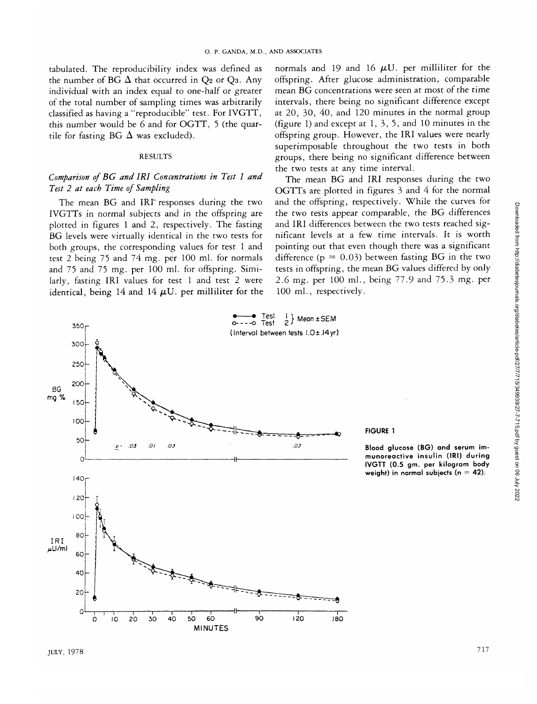tabulated. The reproducibility index was defined as the number of BG  $\Delta$  that occurred in Q<sub>2</sub> or Q<sub>3</sub>. Any individual with an index equal to one-half or greater of the total number of sampling times was arbitrarily classified as having a "reproducible" test. For IVGTT, this number would be 6 and for OGTT, 5 (the quartile for fasting BG  $\Delta$  was excluded).

## RESULTS

# *Comparison of BG and IRI Concentrations in Test 1 and Test 2 at each Time of Sampling*

The mean BG and IRI responses during the two IVGTTs in normal subjects and in the offspring are plotted in figures 1 and 2, respectively. The fasting BG levels were virtually identical in the two tests for both groups, the corresponding values for test 1 and test 2 being 75 and 74 mg. per 100 ml. for normals and 75 and 75 mg. per 100 ml. for offspring. Similarly, fasting IRI values for test 1 and test 2 were identical, being 14 and 14  $\mu$ U. per milliliter for the

normals and 19 and 16  $\mu$ U. per milliliter for the offspring. After glucose administration, comparable mean BG concentrations were seen at most of the time intervals, there being no significant difference except at 20, 30, 40, and 120 minutes in the normal group (figure 1) and except at 1, 3, 5, and 10 minutes in the offspring group. However, the **IRI** values were nearly superimposable throughout the two tests in both groups, there being no significant difference between the two tests at any time interval.

The mean BG and **IRI** responses during the two OGTTs are plotted in figures 3 and 4 for the normal and the offspring, respectively. While the curves for the two tests appear comparable, the BG differences and IRI differences between the two tests reached significant levels at a few time intervals. It is worth pointing out that even though there was a significant difference ( $p = 0.03$ ) between fasting BG in the two tests in offspring, the mean BG values differed by only 2.6 mg. per 100 ml., being 77.9 and 75.3 mg. per 100 ml., respectively.

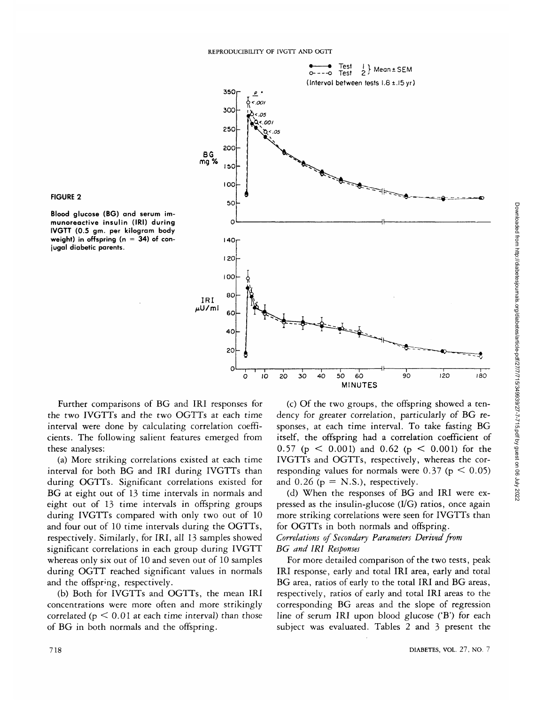



**Blood** glucose (BG) and serum immunoreactive insulin **(IRI)** during IVGTT (0.5 gm. per kilogram body weight) in offspring  $(n = 34)$  of conjugal diabetic parents.

Further comparisons of BG and IRI responses for the two IVGTTs and the two OGTTs at each time interval were done by calculating correlation coefficients. The following salient features emerged from these analyses:

(a) More striking correlations existed at each time interval for both BG and IRI during IVGTTs than during OGTTs. Significant correlations existed for BG at eight out of 13 time intervals in normals and eight out of 13 time intervals in offspring groups during IVGTTs compared with only two out of 10 and four out of 10 time intervals during the OGTTs, respectively. Similarly, for IRI, all 13 samples showed significant correlations in each group during IVGTT whereas only six out of 10 and seven out of 10 samples during OGTT reached significant values in normals and the offspring, respectively.

(b) Both for IVGTTs and OGTTs, the mean IRI concentrations were more often and more strikingly correlated ( $p \le 0.01$  at each time interval) than those of BG in both normals and the offspring.

(c) Of the two groups, the offspring showed a tendency for greater correlation, particularly of BG responses, at each time interval. To take fasting BG itself, the offspring had a correlation coefficient of 0.57 (p  $\leq$  0.001) and 0.62 (p  $\leq$  0.001) for the IVGTTs and OGTTs, respectively, whereas the corresponding values for normals were  $0.37$  (p  $\leq 0.05$ ) and  $0.26$  ( $p = N.S.$ ), respectively.

(d) When the responses of BG and IRI were expressed as the insulin-glucose (I/G) ratios, once again more striking correlations were seen for IVGTTs than for OGTTs in both normals and offspring. *Correlations of Secondary Parameters Derived from BG and IRI Responses*

For more detailed comparison of the two tests, peak IRI response, early and total IRI area, early and total BG area, ratios of early to the total IRI and BG areas, respectively, ratios of early and total IRI areas to the corresponding BG areas and the slope of regression line of serum IRI upon blood glucose ('B') for each subject was evaluated. Tables 2 and 3 present the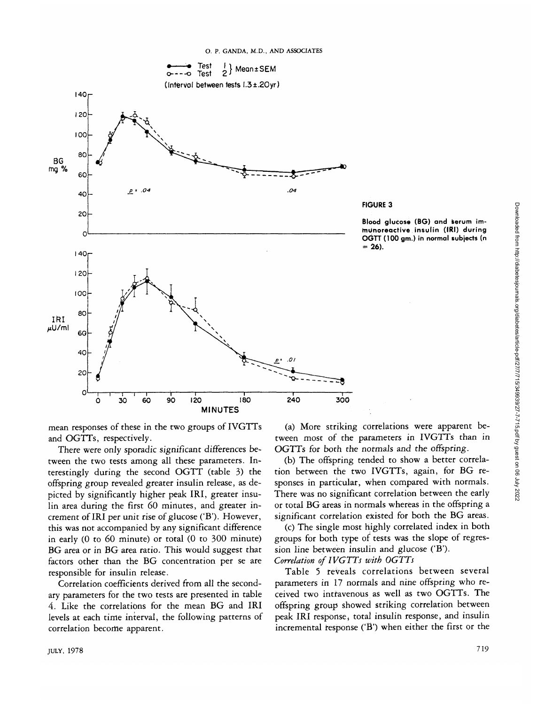

**FIGURE 3**

**Blood glucose (BG) and serum immunoreactive insulin (IRI) during OGTT (100 gm.) in normal subjects (n = 26).**

mean responses of these in the two groups of IVGTTs and OGTTs, respectively.

There were only sporadic significant differences between the two tests among all these parameters. Interestingly during the second OGTT (table 3) the offspring group revealed greater insulin release, as depicted by significantly higher peak IRI, greater insulin area during the first 60 minutes, and greater increment of IRI per unit rise of glucose ('B'). However, this was not accompanied by any significant difference in early (0 to 60 minute) or total (0 to 300 minute) BG area or in BG area ratio. This would suggest that factors other than the BG concentration per se are responsible for insulin release.

Correlation coefficients derived from all the secondary parameters for the two tests are presented in table 4. Like the correlations for the mean BG and IRI levels at each time interval, the following patterns of correlation become apparent.

(a) More striking correlations were apparent between most of the parameters in IVGTTs than in OGTTs for both the normals and the offspring.

(b) The offspring tended to show a better correlation between the two IVGTTs, again, for BG responses in particular, when compared with normals. There was no significant correlation between the early or total BG areas in normals whereas in the offspring a significant correlation existed for both the BG areas.

(c) The single most highly correlated index in both groups for both type of tests was the slope of regression line between insulin and glucose ('B'). *Correlation of IVGTTs with OGTTs*

Table 5 reveals correlations between several parameters in 17 normals and nine offspring who received two intravenous as well as two OGTTs. The offspring group showed striking correlation between peak IRI response, total insulin response, and insulin incremental response  $(B')$  when either the first or the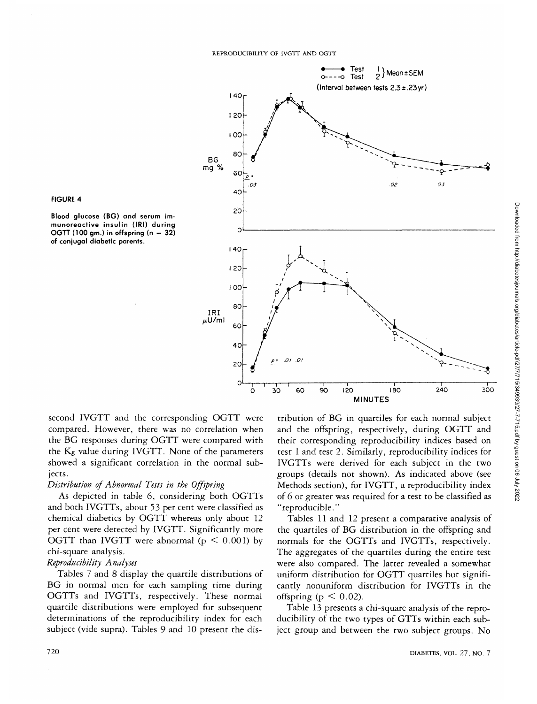



Blood glucose (BG) and serum immunoreactive insulin (IRI) during OGTT (100 gm.) in offspring ( $n = 32$ ) of conjugal diabetic parents.

second IVGTT and the corresponding OGTT were compared. However, there was no correlation when the BG responses during OGTT were compared with the Kg value during IVGTT. None of the parameters showed a significant correlation in the normal subjects.

## *Distribution of Abnormal Tests in the Offspring*

As depicted in table 6, considering both OGTTs and both IVGTTs, about 53 per cent were classified as chemical diabetics by OGTT whereas only about 12 per cent were detected by IVGTT. Significantly more OGTT than IVGTT were abnormal ( $p \leq 0.001$ ) by chi-square analysis.

# *Reproducibility Analyses*

Tables 7 and 8 display the quartile distributions of BG in normal men for each sampling time during OGTTs and IVGTTs, respectively. These normal quartile distributions were employed for subsequent determinations of the reproducibility index for each subject (vide supra). Tables 9 and 10 present the distribution of BG in quartiles for each normal subject and the offspring, respectively, during OGTT and their corresponding reproducibility indices based on test 1 and test 2. Similarly, reproducibility indices for IVGTTs were derived for each subject in the two groups (details not shown). As indicated above (see Methods section), for IVGTT, a reproducibility index of 6 or greater was required for a test to be classified as "reproducible."

Tables 11 and 12 present a comparative analysis of the quartiles of BG distribution in the offspring and normals for the OGTTs and IVGTTs, respectively. The aggregates of the quartiles during the entire test were also compared. The latter revealed a somewhat uniform distribution for OGTT quartiles but significantly nonuniform distribution for IVGTTs in the offspring ( $p < 0.02$ ).

Table 13 presents a chi-square analysis of the reproducibility of the two types of GTTs within each subject group and between the two subject groups. No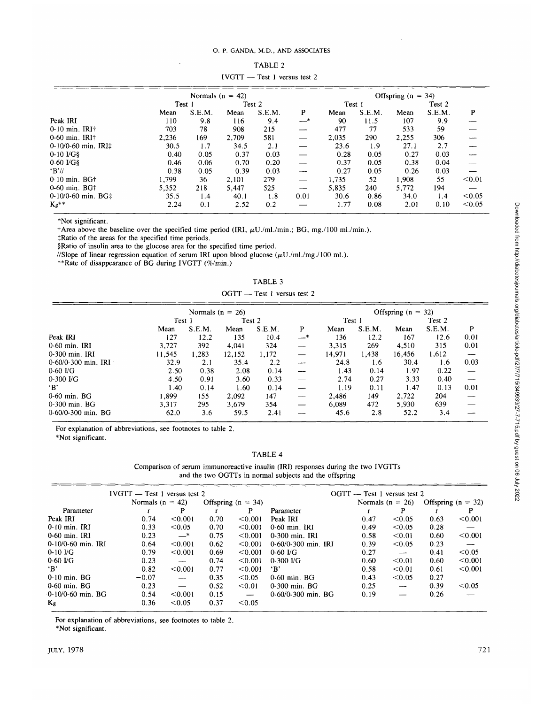## O . P. GANDA , M.D., AND ASSOCIATES

|                                 |                    |        |        | $11011 - 10311$ velsus itsel 2 |      |                  |        |       |                      |        |
|---------------------------------|--------------------|--------|--------|--------------------------------|------|------------------|--------|-------|----------------------|--------|
|                                 | Normals $(n = 42)$ |        |        |                                |      |                  |        |       | Offspring $(n = 34)$ |        |
|                                 | Test 1             |        | Test 2 |                                |      | Test 1<br>Test 2 |        |       |                      |        |
|                                 | Mean               | S.E.M. | Mean   | S.E.M.                         | P    | Mean             | S.E.M. | Mean  | S.E.M.               | P      |
| Peak IRI                        | 110                | 9.8    | 116    | 9.4                            | —*   | 90               | 11.5   | 107   | 9.9                  |        |
| $0-10$ min. IRI $\dagger$       | 703                | 78     | 908    | 215                            |      | 477              | 77     | 533   | 59                   |        |
| $0-60$ min. IRI $\dagger$       | 2,236              | 169    | 2.709  | 581                            |      | 2,035            | 290    | 2,255 | 306                  |        |
| $0-10/0-60$ min. IRI $\ddagger$ | 30.5               | 1.7    | 34.5   | 2.1                            |      | 23.6             | 1.9    | 27.1  | 2.7                  |        |
| $0-10$ $V$ G $\$                | 0.40               | 0.05   | 0.37   | 0.03                           |      | 0.28             | 0.05   | 0.27  | 0.03                 |        |
| $0-60$ I/G§                     | 0.46               | 0.06   | 0.70   | 0.20                           |      | 0.37             | 0.05   | 0.38  | 0.04                 |        |
| B'/l                            | 0.38               | 0.05   | 0.39   | 0.03                           |      | 0.27             | 0.05   | 0.26  | 0.03                 |        |
| $0-10$ min. BG $\dagger$        | 1.799              | 36     | 2,101  | 279                            |      | 1,735            | 52     | 1,908 | 55                   | < 0.01 |
| $0-60$ min. BG <sup>+</sup>     | 5,352              | 218    | 5.447  | 525                            | --   | 5.835            | 240    | 5,772 | 194                  |        |
| $0-10/0-60$ min. BG $\pm$       | 35.5               | 1.4    | 40.1   | 1.8                            | 0.01 | 30.6             | 0.86   | 34.0  | 1.4                  | < 0.05 |
| $K_g$ **                        | 2.24               | 0.1    | 2.52   | 0.2                            |      | 1.77             | 0.08   | 2.01  | 0.10                 | < 0.05 |

IVGTT — TABLE 2 - Test 1 versus test 2

\*Not significant.

 $\dagger$ Area above the baseline over the specified time period (IRI,  $\mu$ U./ml./min.; BG, mg./100 ml./min.).

tRatio of the areas for the specified time periods.

§Ratio of insulin area to the glucose area for the specified time period.

//Slope of linear regression equation of serum IRI upon blood glucose ( $\mu$ U./ml./mg./100 ml.).

\*\*Rate of disappearance of BG during IVGTT (%/min.)

|  |  | TABLE 3 |  |  |
|--|--|---------|--|--|
|  |  |         |  |  |

OGTT — Test 1 versus test 2

|                      |        | Normals $(n = 26)$ |        |        |     |        |        | Offspring $(n = 32)$ |        |      |  |
|----------------------|--------|--------------------|--------|--------|-----|--------|--------|----------------------|--------|------|--|
|                      |        | Test 1<br>Test 2   |        |        |     | Test 1 |        | Test 2               |        |      |  |
|                      | Mean   | S.E.M.             | Mean   | S.E.M. | P   | Mean   | S.E.M. | Mean                 | S.E.M. | P    |  |
| Peak IRI             | 127    | 12.2               | 135    | 10.4   | —*  | 136    | 12.2   | 167                  | 12.6   | 0.01 |  |
| $0-60$ min. IRI      | 3,727  | 392                | 4.041  | 324    |     | 3,315  | 269    | 4,510                | 315    | 0.01 |  |
| 0-300 min. IRI       | 11.545 | 1.283              | 12,152 | 1.172  |     | 14.971 | 1,438  | 16,456               | 1,612  |      |  |
| 0-60/0-300 min. IRI  | 32.9   | 2.1                | 35.4   | 2.2    | --- | 24.8   | 1.6    | 30.4                 | 1.6    | 0.03 |  |
| $0-60$ I/G           | 2.50   | 0.38               | 2.08   | 0.14   |     | 1.43   | 0.14   | 1.97                 | 0.22   |      |  |
| $0-300$ $\text{UG}$  | 4.50   | 0.91               | 3.60   | 0.33   |     | 2.74   | 0.27   | 3.33                 | 0.40   |      |  |
| $\cdot$ B'           | 1.40   | 0.14               | 1.60   | 0.14   |     | 1.19   | 0.11   | 1.47                 | 0.13   | 0.01 |  |
| $0-60$ min. BG       | 1.899  | 155                | 2.092  | 147    | --  | 2.486  | 149    | 2.722                | 204    |      |  |
| 0-300 min. BG        | 3.317  | 295                | 3.679  | 354    |     | 6,089  | 472    | 5,930                | 639    |      |  |
| $0-60/0-300$ min. BG | 62.0   | 3.6                | 59.5   | 2.41   |     | 45.6   | 2.8    | 52.2                 | 3.4    |      |  |

For explanation of abbreviations, see footnotes to table 2.

\*Not significant.

TABLE 4

Comparison of serum immunoreactive insulin (IRI) responses during the two IVGTTs and the two OGTTs in normal subjects and the offspring

|                      | $IVGTT$ — Test 1 versus test 2 |                               |      |                          |                      | $OGTT$ — Test 1 versus test 2 |                          |      |                      |
|----------------------|--------------------------------|-------------------------------|------|--------------------------|----------------------|-------------------------------|--------------------------|------|----------------------|
|                      |                                | Normals $(n = 42)$            |      | Offspring ( $n = 34$ )   |                      |                               | Normals $(n = 26)$       |      | Offspring $(n = 32)$ |
| Parameter            |                                | P                             |      | P                        | Parameter            |                               | P                        |      | P                    |
| Peak IRI             | 0.74                           | < 0.001                       | 0.70 | < 0.001                  | Peak IRI             | 0.47                          | < 0.05                   | 0.63 | < 0.001              |
| 0-10 min. IRI        | 0.33                           | < 0.05                        | 0.70 | < 0.001                  | 0-60 min. IRI        | 0.49                          | < 0.05                   | 0.28 |                      |
| $0-60$ min IRI       | 0.23                           | $-^*$                         | 0.75 | < 0.001                  | 0-300 min. IRI       | 0.58                          | < 0.01                   | 0.60 | < 0.001              |
| 0-10/0-60 min. IRI   | 0.64                           | < 0.001                       | 0.62 | < 0.001                  | 0-60/0-300 min. IRI  | 0.39                          | < 0.05                   | 0.23 |                      |
| $0-10$ $V$ G         | 0.79                           | < 0.001                       | 0.69 | < 0.001                  | $0-60$ I/G           | 0.27                          | $\overline{\phantom{m}}$ | 0.41 | < 0.05               |
| $0-60$ I/G           | 0.23                           | $\overbrace{\phantom{aaaaa}}$ | 0.74 | < 0.001                  | $0-300$ I/G          | 0.60                          | < 0.01                   | 0.60 | < 0.001              |
| ʻВ'                  | 0.82                           | < 0.001                       | 0.77 | < 0.001                  | $\cdot$ B'           | 0.58                          | < 0.01                   | 0.61 | < 0.001              |
| $0-10$ min. BG       | $-0.07$                        | $\overline{\phantom{a}}$      | 0.35 | < 0.05                   | 0-60 min. BG         | 0.43                          | < 0.05                   | 0.27 |                      |
| $0-60$ min. BG       | 0.23                           | $\overbrace{\phantom{aaaaa}}$ | 0.52 | < 0.01                   | 0-300 min. BG        | 0.25                          | $-\!$                    | 0.39 | < 0.05               |
| $-0.10/0.60$ min. BG | 0.54                           | < 0.001                       | 0.15 | $\overline{\phantom{a}}$ | $0-60/0-300$ min. BG | 0.19                          |                          | 0.26 |                      |
| Kg                   | 0.36                           | < 0.05                        | 0.37 | < 0.05                   |                      |                               |                          |      |                      |

For explanation of abbreviations, see footnotes to table 2. \*Not significant.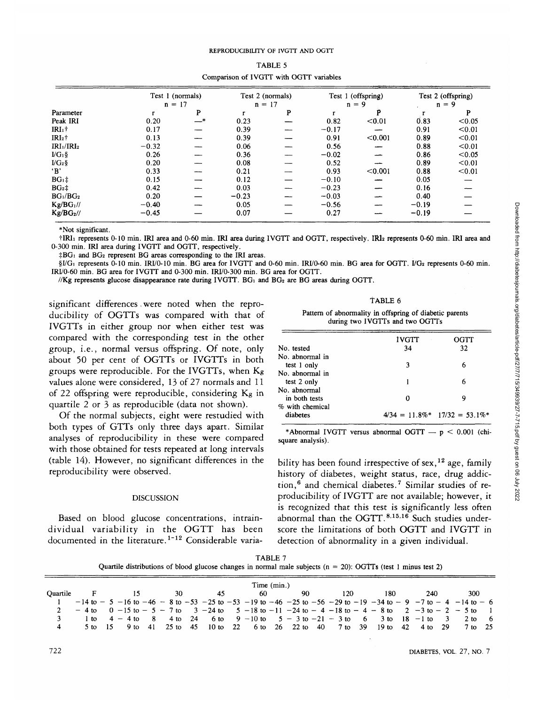|                                    | Test 1 (normals) |    | Test 2 (normals) |   |         | Test 1 (offspring) |         | Test 2 (offspring) |  |
|------------------------------------|------------------|----|------------------|---|---------|--------------------|---------|--------------------|--|
|                                    | $n = 17$         |    | $n = 17$         |   |         | $n = 9$            |         | $n = 9$            |  |
| Parameter                          |                  | P  |                  | P |         |                    |         | P                  |  |
| Peak IRI                           | 0.20             | —* | 0.23             |   | 0.82    | < 0.01             | 0.83    | < 0.05             |  |
| $IRI1$ †                           | 0.17             |    | 0.39             |   | $-0.17$ |                    | 0.91    | < 0.01             |  |
| $IRI2$ †                           | 0.13             |    | 0.39             |   | 0.91    | < 0.001            | 0.89    | < 0.01             |  |
| IRI <sub>1</sub> /IRI <sub>2</sub> | $-0.32$          |    | 0.06             |   | 0.56    |                    | 0.88    | < 0.01             |  |
| $\rm I/G_1\$                       | 0.26             |    | 0.36             |   | $-0.02$ |                    | 0.86    | < 0.05             |  |
| $\rm UG_2\$                        | 0.20             |    | 0.08             |   | 0.52    |                    | 0.89    | < 0.01             |  |
| 'В'                                | 0.33             |    | 0.21             |   | 0.93    | < 0.001            | 0.88    | < 0.01             |  |
| $BG_1$ ‡                           | 0.15             |    | 0.12             |   | $-0.10$ |                    | 0.05    |                    |  |
| BG <sub>2</sub>                    | 0.42             |    | 0.03             |   | $-0.23$ |                    | 0.16    |                    |  |
| BG <sub>1</sub> /BG <sub>2</sub>   | 0.20             |    | $-0.23$          |   | $-0.03$ |                    | 0.40    |                    |  |
| $Kg/BG_1$ //                       | $-0.40$          |    | 0.05             |   | $-0.56$ |                    | $-0.19$ |                    |  |
| $Kg/BG_2$ //                       | $-0.45$          |    | 0.07             |   | 0.27    |                    | $-0.19$ |                    |  |

| TABLE 5                                 |
|-----------------------------------------|
| Comparison of IVGTT with OGTT variables |

\*Not significant.

tIRIi represents 0-10 min. IRI area and 0-60 min. IRI area during IVGTT and OGTT, respectively. IRI2 represents 0-60 rhin. IRI area and 0-300 min. IRI area during IVGTT and OGTT, respectively.

 $\sharp BG_1$  and BG<sub>2</sub> represent BG areas corresponding to the IRI areas.

§I/G<sub>1</sub> represents 0-10 min. IRI/0-10 min. BG area for IVGTT and 0-60 min. IRI/0-60 min. BG area for OGTT. I/G<sub>2</sub> represents 0-60 min. IRI/0-60 min. BG area for IVGTT and 0-300 min. IRI/0-300 min. BG area for OGTT.

//Kg represents glucose disappearance rate during IVGTT.  $BG_1$  and  $BG_2$  are BG areas during OGTT.

significant differences . were noted when the reproducibility of OGTTs was compared with that of IVGTTs in either group nor when either test was compared with the corresponding test in the other group, i.e., normal versus offspring. Of note, only about 50 per cent of OGTTs or IVGTTs in both groups were reproducible. For the IVGTTs, when  $K_g$ values alone were considered, 13 of 27 normals and 11 of 22 offspring were reproducible, considering Kg in quartile 2 or 3 as reproducible (data not shown).

Of the normal subjects, eight were restudied with both types of GTTs only three days apart. Similar analyses of reproducibility in these were compared with those obtained for tests repeated at long intervals (table 14). However, no significant differences in the reproducibility were observed.

## DISCUSSION

Based on blood glucose concentrations, intraindividual variability in the OGTT has been documented in the literature.<sup>1-12</sup> Considerable varia-

TABLE 6 Pattern of abnormality in offspring of diabetic parents during two IVGTTs and two OGTTs

|                 | <b>IVGTT</b> | OGTT                                 |
|-----------------|--------------|--------------------------------------|
| No. tested      | 34           | 32                                   |
| No. abnormal in |              |                                      |
| test 1 only     | ٩            | 6                                    |
| No. abnormal in |              |                                      |
| test 2 only     |              | 6                                    |
| No. abnormal    |              |                                      |
| in both tests   | O            | 9                                    |
| % with chemical |              |                                      |
| diabetes        |              | $4/34 = 11.8\%$ * $17/32 = 53.1\%$ * |
|                 |              |                                      |

\*Abnormal IVGTT versus abnormal OGTT  $-p < 0.001$  (chisquare analysis).

bility has been found irrespective of sex, <sup>12</sup> age, family history of diabetes, weight status, race, drug addiction,<sup>6</sup> and chemical diabetes.<sup>7</sup> Similar studies of reproducibility of IVGTT are not available; however, it is recognized that this test is significantly less often abnormal than the OGTT.<sup>8,15,16</sup> Such studies underscore the limitations of both OGTT and IVGTT in detection of abnormality in a given individual.

TABLE 7 Quartile distributions of blood glucose changes in normal male subjects (n = 20): OGTTs (test 1 minus test 2)

|          |      |              |          |          |    |    | Time (min.) |                  |        |    |                                                            |         |      |                                                                                                                                                 |     |
|----------|------|--------------|----------|----------|----|----|-------------|------------------|--------|----|------------------------------------------------------------|---------|------|-------------------------------------------------------------------------------------------------------------------------------------------------|-----|
| Ouartile |      |              | 30       | 45       |    | 60 |             | 90               | 20     |    | 180                                                        | 240     |      | 300                                                                                                                                             |     |
|          |      |              |          |          |    |    |             |                  |        |    |                                                            |         |      | $-14$ to $-5$ $-16$ to $-46$ $-8$ to $-53$ $-25$ to $-53$ $-19$ to $-46$ $-25$ to $-56$ $-29$ to $-19$ $-34$ to $-9$ $-7$ to $-4$ $-14$ to $-6$ |     |
|          |      |              |          |          |    |    |             |                  |        |    |                                                            |         |      | $-4$ to $0$ $-15$ to $-5$ $-7$ to $3$ $-24$ to $5$ $-18$ to $-11$ $-24$ to $-4$ $-18$ to $-4$ $-8$ to $2$ $-3$ to $-2$ $-5$ to 1                |     |
|          | l to | $4 - 4$ to 8 |          |          |    |    |             |                  |        |    | 4 to 24 6 to $9-10$ to $5-3$ to $-21-3$ to 6 3 to 18 -1 to |         |      | 3 2 to                                                                                                                                          | - 6 |
|          | 5 to | 15 9 to      | 41 25 to | 45 10 to | 22 |    |             | 6 to 26 22 to 40 | $7$ to | 39 | $19$ to                                                    | 42 4 to | - 29 | 7 to 25                                                                                                                                         |     |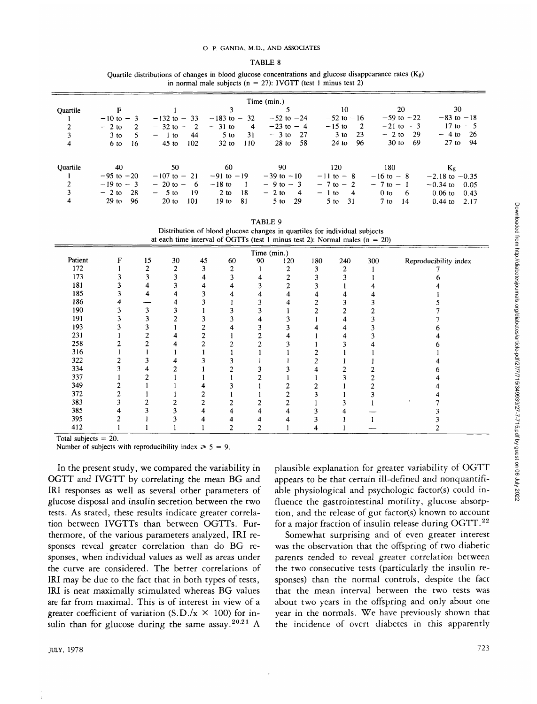#### O. P. GANDA, M.D., AND ASSOCIATES

Quartile distributions of changes in blood glucose concentrations and glucose disappearance rates  $(K_g)$ in normal male subjects ( $n = 27$ ): IVGTT (test 1 minus test 2)

| Time (min.)    |                |                                 |                        |                           |                           |                       |                    |  |  |  |  |
|----------------|----------------|---------------------------------|------------------------|---------------------------|---------------------------|-----------------------|--------------------|--|--|--|--|
| Ouartile       |                |                                 |                        |                           | 10                        | 20                    | 30                 |  |  |  |  |
|                | $-10$ to $-3$  | $-132$ to $-33$                 | $-183$ to $-32$        | $-52$ to $-24$            | $-52$ to $-16$            | $-59$ to $-22$        | $-83$ to $-18$     |  |  |  |  |
| $\overline{2}$ | $-2$ to<br>2   | $-32$ to $-$<br>$\overline{2}$  | $-31$ to<br>4          | $-23$ to $-4$             | $-15$ to<br>-2            | $-21$ to $-3$         | $-17$ to $-5$      |  |  |  |  |
| 3              | $3$ to<br>5    | 44<br>1 to<br>$\qquad \qquad -$ | 31<br>$5$ to           | -27<br>$-3$ to            | $3$ to<br>23              | $-2$ to<br>-29        | -26<br>$-4$ to     |  |  |  |  |
| 4              | 6 to<br>16     | $45$ to<br>102                  | 110<br>$32$ to         | $28$ to<br>-58            | 96<br>$24$ to             | $30$ to<br>-69        | 27 to 94           |  |  |  |  |
|                |                |                                 |                        |                           |                           |                       |                    |  |  |  |  |
| Ouartile       | 40             | 50                              | 60                     | 90                        | 120                       | 180                   | Kg                 |  |  |  |  |
|                | $-95$ to $-20$ | $-107$ to $-21$                 | $-91$ to $-19$         | $-39$ to $-10$            | $-11$ to $-8$             | $-16$ to $-8$         | $-2.18$ to $-0.35$ |  |  |  |  |
| $\overline{2}$ | $-19$ to $-3$  | $-20$ to $-$<br>- 6             | $-18$ to               | $-9$ to $-3$              | $-7$ to $-2$              | $-7$ to $-1$          | $-0.34$ to<br>0.05 |  |  |  |  |
| 3              | 28<br>$-2$ to  | 19<br>$-5$ to                   | $2$ to<br>-18          | $-2$ to<br>$\overline{4}$ | $\overline{4}$<br>$-1$ to | 0 <sub>to</sub><br>-6 | $0.06$ to<br>0.43  |  |  |  |  |
| 4              | $29$ to<br>96  | $20$ to<br>101                  | 19 <sub>to</sub><br>81 | 29<br>$5$ to              | 31<br>$5$ to              | $7$ to<br>14          | $0.44$ to<br>2.17  |  |  |  |  |

TABLE 9

|  | Distribution of blood glucose changes in quartiles for individual subjects    |
|--|-------------------------------------------------------------------------------|
|  | at each time interval of OGTTs (test 1 minus test 2): Normal males $(n = 20)$ |

|         | Time (min.)    |    |                |    |    |    |                |     |     |     |                       |  |  |
|---------|----------------|----|----------------|----|----|----|----------------|-----|-----|-----|-----------------------|--|--|
| Patient | F              | 15 | 30             | 45 | 60 | 90 | 120            | 180 | 240 | 300 | Reproducibility index |  |  |
| 172     |                | 2  | $\overline{2}$ | 3  | 2  |    | 2              | 3   | 2   |     |                       |  |  |
| 173     | 3              | 3  | $\overline{3}$ | 4  | 3  |    | 2              |     | 3   |     |                       |  |  |
| 181     |                | 4  | 3              |    | 4  |    | 2              |     |     |     |                       |  |  |
| 185     | 3              | 4  | 4              |    | 4  |    | 4              |     | 4   |     |                       |  |  |
| 186     | 4              |    | 4              |    |    |    | 4              |     | 3   |     |                       |  |  |
| 190     | 3              | 3  | 3              |    |    |    |                | 2   | 2   |     |                       |  |  |
| 191     | 3              |    | ↑              |    | 3  |    | 3              |     | 4   |     |                       |  |  |
| 193     |                | 3  |                |    |    |    | 3              |     | 4   |     |                       |  |  |
| 231     |                |    |                |    |    |    |                |     |     |     |                       |  |  |
| 258     |                | ኅ  |                |    |    |    |                |     | 3   |     |                       |  |  |
| 316     |                |    |                |    |    |    |                |     |     |     |                       |  |  |
| 322     |                |    |                |    |    |    |                |     |     |     |                       |  |  |
| 334     | ٩              |    |                |    |    |    |                |     | 2   |     |                       |  |  |
| 337     |                |    |                |    |    |    |                |     | 3   |     |                       |  |  |
| 349     | 2              |    |                |    |    |    |                |     |     |     |                       |  |  |
| 372     | $\overline{c}$ |    |                |    |    |    | $\overline{2}$ |     |     |     |                       |  |  |
| 383     | 3              | 2  | 2              | 2  |    |    | 2              |     | 3   |     |                       |  |  |
| 385     | 4              | 3  | 3              | 4  | 4  |    | 4              |     | 4   |     |                       |  |  |
| 395     |                |    |                |    |    |    |                |     |     |     |                       |  |  |
| 412     |                |    |                |    | 2  |    |                |     |     |     |                       |  |  |

Total subjects  $= 20$ .

Number of subjects with reproducibility index  $\geq 5 = 9$ .

In the present study, we compared the variability in OGTT and IVGTT by correlating the mean BG and IRI responses as well as several other parameters of glucose disposal and insulin secretion between the two tests. As stated, these results indicate greater correlation between IVGTTs than between OGTTs. Furthermore, of the various parameters analyzed, IRI responses reveal greater correlation than do BG responses, when individual values as well as areas under the curve are considered. The better correlations of IRI may be due to the fact that in both types of tests, IRI is near maximally stimulated whereas BG values are far from maximal. This is of interest in view of a greater coefficient of variation (S.D./ $x \times 100$ ) for insulin than for glucose during the same assay.<sup>20.21</sup> A

plausible explanation for greater variability of OGTT appears to be that certain ill-defined and nonquantifiable physiological and psychologic factor(s) could influence the gastrointestinal motility, glucose absorption, and the release of gut factor(s) known to account for a major fraction of insulin release during OGTT.<sup>22</sup>

Somewhat surprising and of even greater interest was the observation that the offspring of two diabetic parents tended to reveal greater correlation between the two consecutive tests (particularly the insulin responses) than the normal controls, despite the fact that the mean interval between the two tests was about two years in the offspring and only about one year in the normals. We have previously shown that the incidence of overt diabetes in this apparently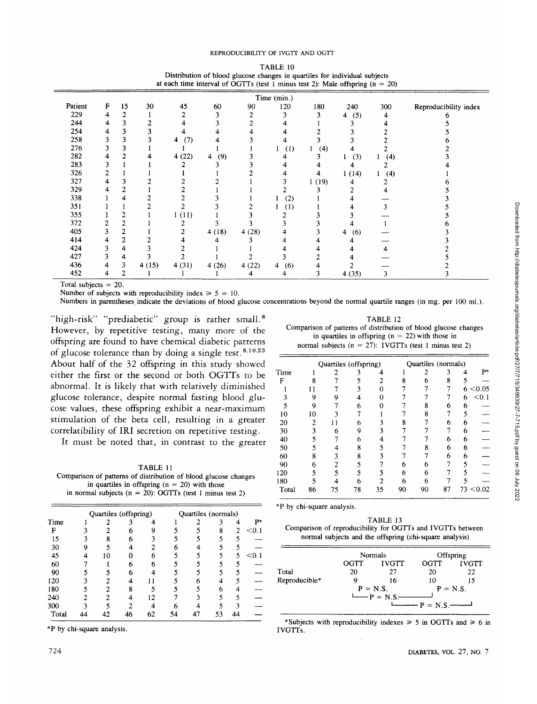#### REPRODUCIBILITY OF IVGTT AND OGTT

| TABLE 10                                                                        |  |
|---------------------------------------------------------------------------------|--|
| Distribution of blood glucose changes in quartiles for individual subjects      |  |
| at each time interval of OGTTs (test 1 minus test 2): Male offspring $(n = 20)$ |  |

|         |   |                |       |          |                       |       | Time (min.) |       |          |     |                       |
|---------|---|----------------|-------|----------|-----------------------|-------|-------------|-------|----------|-----|-----------------------|
| Patient | F | 15             | 30    | 45       | 60                    | 90    | 120         | 180   | 240      | 300 | Reproducibility index |
| 229     | 4 | 2              |       |          |                       | 2     | 3           |       | (5)<br>4 | 4   |                       |
| 244     | 4 | 3              |       |          |                       | 2     |             |       | ٩        |     |                       |
| 254     | 4 | 3              |       |          |                       |       |             |       |          |     |                       |
| 258     | 3 | 3              |       | (7)<br>4 |                       |       |             |       |          |     |                       |
| 276     | 3 | 3              |       |          |                       |       | (1)         | (4)   |          |     |                       |
| 282     | 4 | 2              |       | 4(22)    | (9)<br>$\overline{4}$ | 3     |             |       | (3)      | (4) |                       |
| 283     | 3 |                |       |          |                       |       |             |       |          |     |                       |
| 326     | 2 |                |       |          |                       |       |             |       | 1(14)    | (4) |                       |
| 327     | 4 | 3              |       |          |                       |       |             | 1(19) |          |     |                       |
| 329     | 4 | 2              |       |          |                       |       |             |       |          |     |                       |
| 338     |   | 4              |       |          |                       |       | (2)         |       |          |     |                       |
| 351     |   |                |       |          |                       |       | (1)         |       |          | 3   |                       |
| 355     |   |                |       | 1(11)    |                       |       |             |       |          |     |                       |
| 372     | 2 |                |       |          |                       |       |             |       |          |     |                       |
| 405     | 3 | $\overline{c}$ |       |          | 4(18)                 | 4(28) |             |       | (6)<br>4 |     |                       |
| 414     | 4 | 2              |       |          |                       |       |             |       |          |     |                       |
| 424     | 3 | 4              |       |          |                       |       |             |       |          |     |                       |
| 427     | 3 | 4              |       |          |                       |       |             |       |          |     |                       |
| 436     | 4 | 3              | 4(15) | 4(31)    | 4(26)                 | 4(22) | (6)<br>4    |       |          |     |                       |
| 452     | 4 | 2              |       |          |                       | 4     | 4           | 3     | 4(35)    | 3   |                       |

Total subjects = 20.

Number of subjects with reproducibility index  $\geq 5 = 10$ .

Numbers in parentheses indicate the deviations of blood glucose concentrations beyond the normal quartile ranges (in mg. per 100 ml.).

"high-risk" "prediabetic" group is rather small.<sup>8</sup> However, by repetitive testing, many more of the offspring are found to have chemical diabetic patterns of glucose tolerance than by doing a single test.  $8,10,23$ About half of the 32 offspring in this study showed either the first or the second or both OGTTs to be abnormal. It is likely that with relatively diminished glucose tolerance, despite normal fasting blood glucose values, these offspring exhibit a near-maximum stimulation of the beta cell, resulting in a greater correlatibility of IRI secretion on repetitive testing.

It must be noted that, in contrast to the greater

TABLE 11 Comparison of patterns of distribution of blood glucose changes in quartiles in offspring  $(n = 20)$  with those in normal subjects ( $n = 20$ ): OGTTs (test 1 minus test 2)

|    |    |    |                       |    |    |   | p*                  |
|----|----|----|-----------------------|----|----|---|---------------------|
|    |    |    |                       |    | 8  | 2 | < 0.1               |
| 8  | 6  |    |                       |    |    |   |                     |
|    |    | 2  | 6                     |    |    |   |                     |
| 10 |    | 6  |                       |    |    | 5 | < 0.1               |
|    |    | 6  |                       |    |    |   |                     |
|    | 6  |    |                       |    |    |   |                     |
|    |    |    |                       | 6  | Δ  |   |                     |
|    | 8  |    |                       |    | 6  |   |                     |
|    |    |    |                       |    |    |   |                     |
|    | າ  |    |                       |    |    |   |                     |
|    | 46 | 62 | 54                    | 47 | 53 |   |                     |
|    |    |    | Quartiles (offspring) |    |    |   | Quartiles (normals) |

| TABLE 12                                                        |
|-----------------------------------------------------------------|
| Comparison of patterns of distribution of blood glucose changes |
| in quartiles in offspring ( $n = 22$ ) with those in            |
| normal subjects ( $n = 27$ ): IVGTTs (test 1 minus test 2)      |

|       |    |    | Quartiles (offspring) |    |    | Quartiles (normals) |    |   |           |
|-------|----|----|-----------------------|----|----|---------------------|----|---|-----------|
| Time  |    |    |                       |    |    | 2                   | 3  | 4 | P*        |
| F     | R  |    |                       |    |    | 6                   | 8  |   |           |
|       |    |    | 3                     |    |    |                     |    | 6 | < 0.05    |
|       | 9  |    |                       |    |    |                     |    | 6 | < 0.1     |
| 5     | Q  |    | 6                     |    |    | 8                   | 6  | 6 |           |
| 10    | 10 |    |                       |    |    | ጸ                   |    | 5 |           |
| 20    | 2  |    |                       |    | 8  |                     | 6  | 6 |           |
| 30    | 3  | 6  |                       | 3  |    |                     |    | 6 |           |
| 40    |    |    | 6                     | 4  |    |                     | 6  | 6 |           |
| 50    |    |    | 8                     |    |    | ጸ                   | 6  | 6 |           |
| 60    | 8  | 3  | 8                     |    |    |                     | 6  | 6 |           |
| 90    | 6  |    |                       |    | 6  | 6                   |    |   |           |
| 120   |    |    |                       |    | 6  | 6                   |    |   |           |
| 180   |    |    |                       |    | 6  | 6                   |    |   |           |
| Total | 86 | 75 | 78                    | 35 | 90 | 90                  | 87 |   | 73 < 0.02 |

\*P by chi-square analysis.

| TABLE 13                                                   |
|------------------------------------------------------------|
| Comparison of reproducibility for OGTTs and IVGTTs between |
| normal subjects and the offspring (chi-square analysis)    |

|               |      | <b>Normals</b>                                           | Offspring  |              |  |
|---------------|------|----------------------------------------------------------|------------|--------------|--|
|               | OGTT | <b>IVGTT</b>                                             | OGTT.      | <b>IVGTT</b> |  |
| Total         | 20   | 27                                                       | 20         | 22           |  |
| Reproducible* |      | 16                                                       | 10         | 15           |  |
|               |      | $P = N.S.$<br>$\mathbf{p} = \mathbf{N} \cdot \mathbf{S}$ | $P = N.S.$ | $P = N.S.$   |  |

\*Subjects with reproducibility indexes  $\geq 5$  in OGTTs and  $\geq 6$  in  $\frac{1}{10}$  is  $\frac{1}{10}$  in  $\frac{1}{10}$  in  $\frac{1}{10}$  in  $\frac{1}{10}$  in  $\frac{1}{10}$  is  $\frac{1}{10}$  in  $\frac{1}{10}$  in  $\frac{1}{10}$  in  $\frac{1}{10}$  in  $\frac{1}{10}$ IVGTTs.